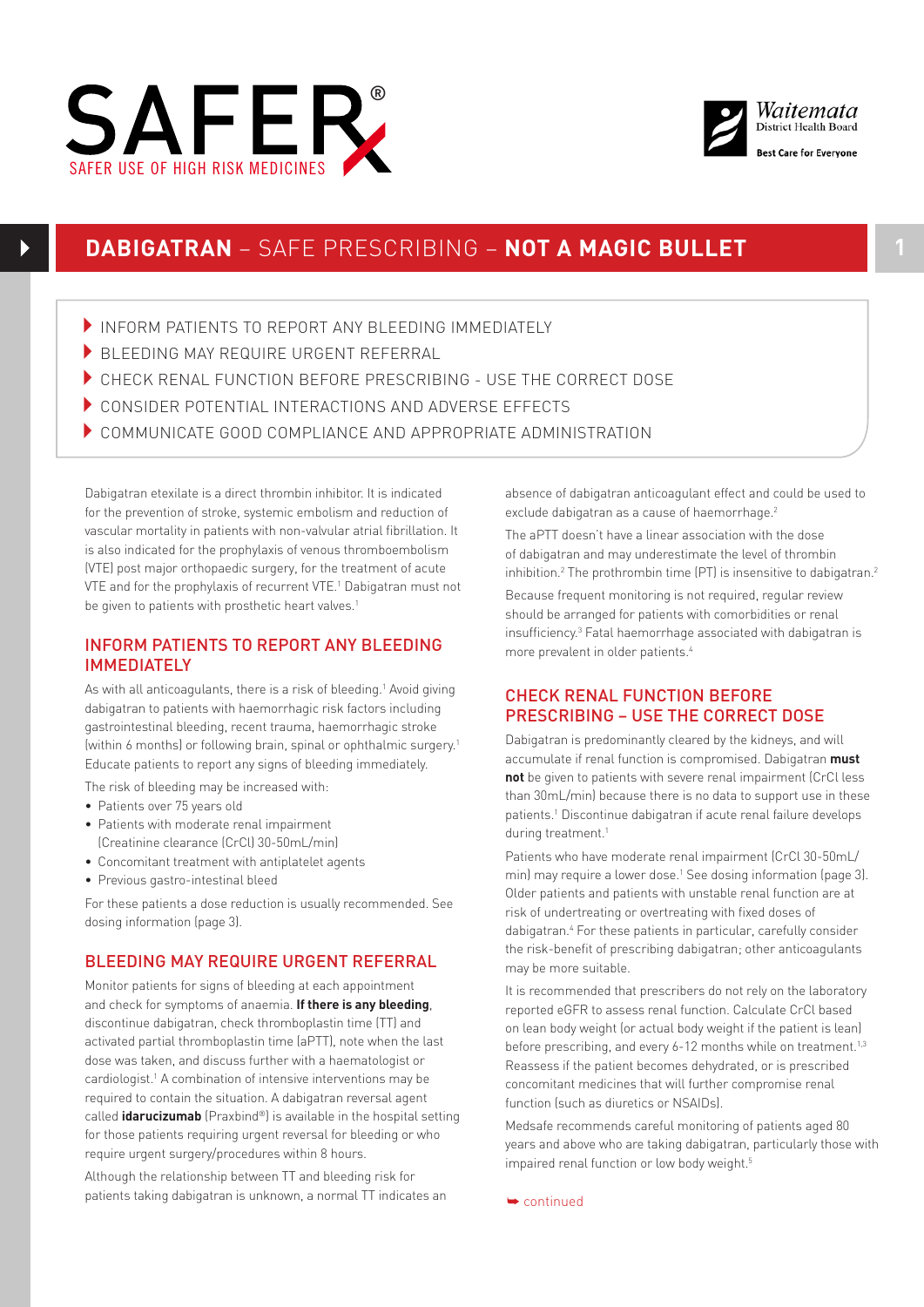



# **DABIGATRAN** – SAFE PRESCRIBING – **NOT A MAGIC BULLET 1**

- INFORM PATIENTS TO REPORT ANY BLEEDING IMMEDIATELY
- $\blacktriangleright$  BLEEDING MAY REQUIRE URGENT REFERRAL
- 4CHECK RENAL FUNCTION BEFORE PRESCRIBING USE THE CORRECT DOSE
- 4CONSIDER POTENTIAL INTERACTIONS AND ADVERSE EFFECTS
- $\blacktriangleright$  COMMUNICATE GOOD COMPLIANCE AND APPROPRIATE ADMINISTRATION

Dabigatran etexilate is a direct thrombin inhibitor. It is indicated for the prevention of stroke, systemic embolism and reduction of vascular mortality in patients with non-valvular atrial fibrillation. It is also indicated for the prophylaxis of venous thromboembolism (VTE) post major orthopaedic surgery, for the treatment of acute VTE and for the prophylaxis of recurrent VTE.1 Dabigatran must not be given to patients with prosthetic heart valves.<sup>1</sup>

## INFORM PATIENTS TO REPORT ANY BLEEDING **IMMEDIATELY**

As with all anticoagulants, there is a risk of bleeding.<sup>1</sup> Avoid giving dabigatran to patients with haemorrhagic risk factors including gastrointestinal bleeding, recent trauma, haemorrhagic stroke (within 6 months) or following brain, spinal or ophthalmic surgery.1 Educate patients to report any signs of bleeding immediately.

The risk of bleeding may be increased with:

SAFER USE OF HIGH RISK MEDICINES

- Patients over 75 years old
- Patients with moderate renal impairment (Creatinine clearance (CrCl) 30-50mL/min)
- Concomitant treatment with antiplatelet agents
- Previous gastro-intestinal bleed

For these patients a dose reduction is usually recommended. See dosing information (page 3).

## BLEEDING MAY REQUIRE URGENT REFERRAL

Monitor patients for signs of bleeding at each appointment and check for symptoms of anaemia. **If there is any bleeding**, discontinue dabigatran, check thromboplastin time (TT) and activated partial thromboplastin time (aPTT), note when the last dose was taken, and discuss further with a haematologist or cardiologist.1 A combination of intensive interventions may be required to contain the situation. A dabigatran reversal agent called **idarucizumab** (Praxbind®) is available in the hospital setting for those patients requiring urgent reversal for bleeding or who require urgent surgery/procedures within 8 hours.

Although the relationship between TT and bleeding risk for patients taking dabigatran is unknown, a normal TT indicates an absence of dabigatran anticoagulant effect and could be used to exclude dabigatran as a cause of haemorrhage.<sup>2</sup>

The aPTT doesn't have a linear association with the dose of dabigatran and may underestimate the level of thrombin inhibition.<sup>2</sup> The prothrombin time (PT) is insensitive to dabigatran.<sup>2</sup>

Because frequent monitoring is not required, regular review should be arranged for patients with comorbidities or renal insufficiency.3 Fatal haemorrhage associated with dabigatran is more prevalent in older patients.4

## CHECK RENAL FUNCTION BEFORE PRESCRIBING – USE THE CORRECT DOSE

Dabigatran is predominantly cleared by the kidneys, and will accumulate if renal function is compromised. Dabigatran **must not** be given to patients with severe renal impairment (CrCl less than 30mL/min) because there is no data to support use in these patients.<sup>1</sup> Discontinue dabigatran if acute renal failure develops during treatment.<sup>1</sup>

Patients who have moderate renal impairment (CrCl 30-50mL/ min) may require a lower dose.<sup>1</sup> See dosing information (page 3). Older patients and patients with unstable renal function are at risk of undertreating or overtreating with fixed doses of dabigatran.4 For these patients in particular, carefully consider the risk-benefit of prescribing dabigatran; other anticoagulants may be more suitable.

It is recommended that prescribers do not rely on the laboratory reported eGFR to assess renal function. Calculate CrCl based on lean body weight (or actual body weight if the patient is lean) before prescribing, and every 6-12 months while on treatment.<sup>1,3</sup> Reassess if the patient becomes dehydrated, or is prescribed concomitant medicines that will further compromise renal function (such as diuretics or NSAIDs).

Medsafe recommends careful monitoring of patients aged 80 years and above who are taking dabigatran, particularly those with impaired renal function or low body weight.<sup>5</sup>

➥ continued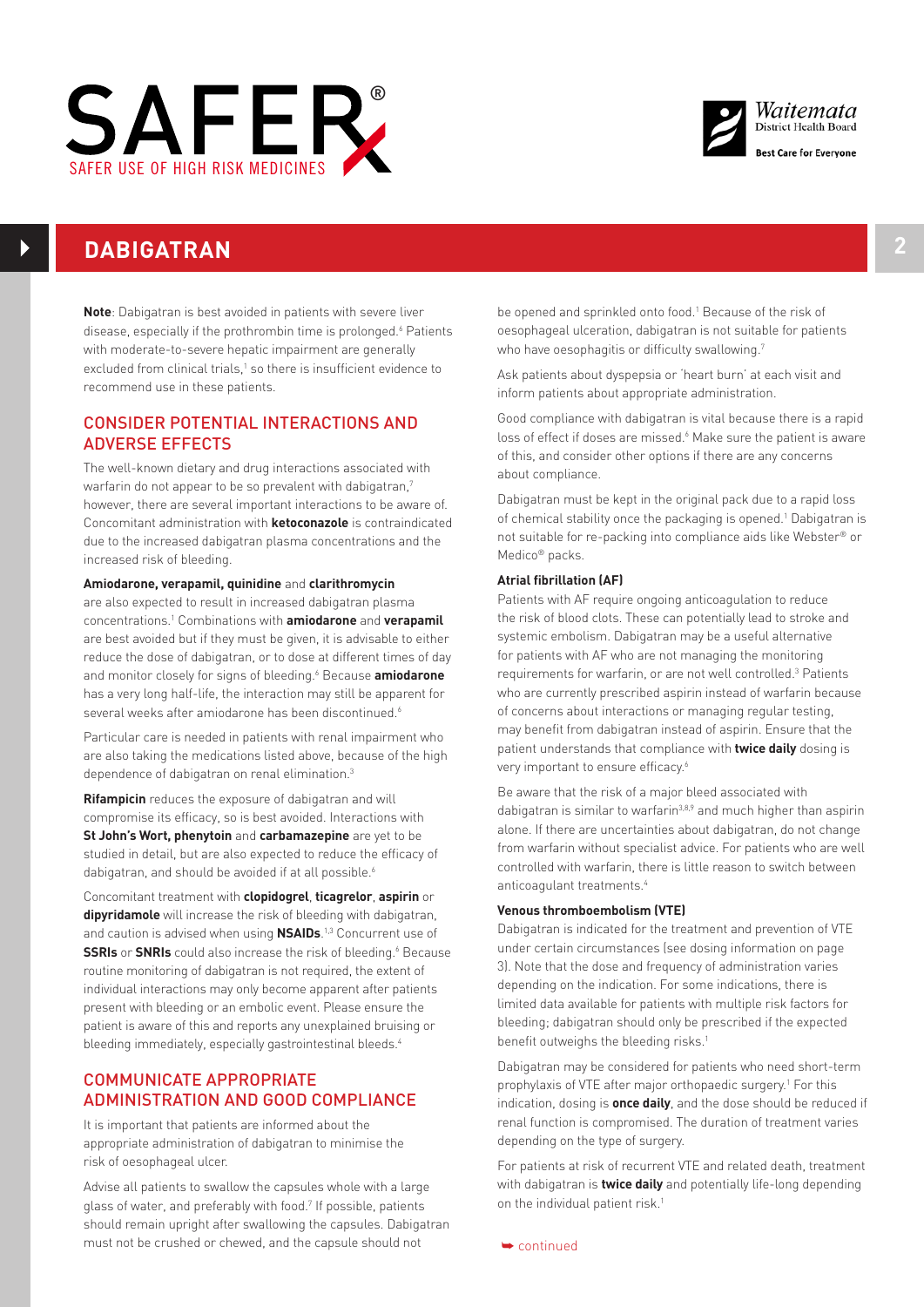



# **DABIGATRAN 2**

**Note**: Dabigatran is best avoided in patients with severe liver disease, especially if the prothrombin time is prolonged.<sup>6</sup> Patients with moderate-to-severe hepatic impairment are generally excluded from clinical trials,<sup>1</sup> so there is insufficient evidence to recommend use in these patients.

## CONSIDER POTENTIAL INTERACTIONS AND ADVERSE EFFECTS

The well-known dietary and drug interactions associated with warfarin do not appear to be so prevalent with dabigatran,<sup>7</sup> however, there are several important interactions to be aware of. Concomitant administration with **ketoconazole** is contraindicated due to the increased dabigatran plasma concentrations and the increased risk of bleeding.

## **Amiodarone, verapamil, quinidine** and **clarithromycin**

are also expected to result in increased dabigatran plasma concentrations.1 Combinations with **amiodarone** and **verapamil** are best avoided but if they must be given, it is advisable to either reduce the dose of dabigatran, or to dose at different times of day and monitor closely for signs of bleeding.6 Because **amiodarone** has a very long half-life, the interaction may still be apparent for several weeks after amiodarone has been discontinued.<sup>6</sup>

Particular care is needed in patients with renal impairment who are also taking the medications listed above, because of the high dependence of dabigatran on renal elimination.<sup>3</sup>

**Rifampicin** reduces the exposure of dabigatran and will compromise its efficacy, so is best avoided. Interactions with **St John's Wort, phenytoin** and **carbamazepine** are yet to be studied in detail, but are also expected to reduce the efficacy of dabigatran, and should be avoided if at all possible.<sup>6</sup>

Concomitant treatment with **clopidogrel**, **ticagrelor**, **aspirin** or **dipyridamole** will increase the risk of bleeding with dabigatran, and caution is advised when using **NSAIDs**. 1,3 Concurrent use of **SSRIs** or **SNRIs** could also increase the risk of bleeding.<sup>6</sup> Because routine monitoring of dabigatran is not required, the extent of individual interactions may only become apparent after patients present with bleeding or an embolic event. Please ensure the patient is aware of this and reports any unexplained bruising or bleeding immediately, especially gastrointestinal bleeds.4

## COMMUNICATE APPROPRIATE ADMINISTRATION AND GOOD COMPLIANCE

It is important that patients are informed about the appropriate administration of dabigatran to minimise the risk of oesophageal ulcer.

Advise all patients to swallow the capsules whole with a large glass of water, and preferably with food.<sup>7</sup> If possible, patients should remain upright after swallowing the capsules. Dabigatran must not be crushed or chewed, and the capsule should not

be opened and sprinkled onto food.<sup>1</sup> Because of the risk of oesophageal ulceration, dabigatran is not suitable for patients who have oesophagitis or difficulty swallowing.<sup>7</sup>

Ask patients about dyspepsia or 'heart burn' at each visit and inform patients about appropriate administration.

Good compliance with dabigatran is vital because there is a rapid loss of effect if doses are missed.<sup>6</sup> Make sure the patient is aware of this, and consider other options if there are any concerns about compliance.

Dabigatran must be kept in the original pack due to a rapid loss of chemical stability once the packaging is opened.<sup>1</sup> Dabigatran is not suitable for re-packing into compliance aids like Webster® or Medico® packs.

## **Atrial fibrillation (AF)**

Patients with AF require ongoing anticoagulation to reduce the risk of blood clots. These can potentially lead to stroke and systemic embolism. Dabigatran may be a useful alternative for patients with AF who are not managing the monitoring requirements for warfarin, or are not well controlled.<sup>3</sup> Patients who are currently prescribed aspirin instead of warfarin because of concerns about interactions or managing regular testing, may benefit from dabigatran instead of aspirin. Ensure that the patient understands that compliance with **twice daily** dosing is very important to ensure efficacy.<sup>6</sup>

Be aware that the risk of a major bleed associated with dabigatran is similar to warfarin<sup>3,8,9</sup> and much higher than aspirin alone. If there are uncertainties about dabigatran, do not change from warfarin without specialist advice. For patients who are well controlled with warfarin, there is little reason to switch between anticoagulant treatments.4

#### **Venous thromboembolism (VTE)**

Dabigatran is indicated for the treatment and prevention of VTE under certain circumstances (see dosing information on page 3). Note that the dose and frequency of administration varies depending on the indication. For some indications, there is limited data available for patients with multiple risk factors for bleeding; dabigatran should only be prescribed if the expected benefit outweighs the bleeding risks.<sup>1</sup>

Dabigatran may be considered for patients who need short-term prophylaxis of VTE after major orthopaedic surgery.1 For this indication, dosing is **once daily**, and the dose should be reduced if renal function is compromised. The duration of treatment varies depending on the type of surgery.

For patients at risk of recurrent VTE and related death, treatment with dabigatran is **twice daily** and potentially life-long depending on the individual patient risk.<sup>1</sup>

➥ continued